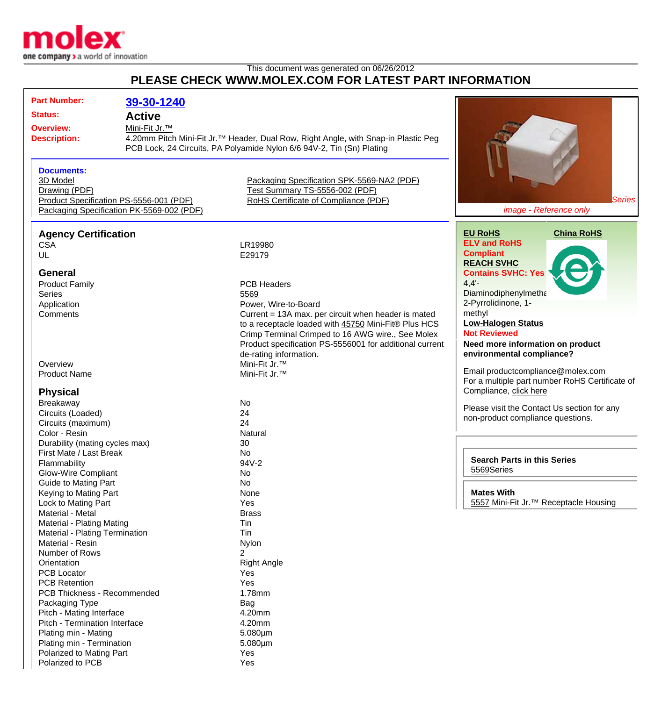

## This document was generated on 06/26/2012 **PLEASE CHECK WWW.MOLEX.COM FOR LATEST PART INFORMATION**

| <b>Part Number:</b>            | 39-30-1240                                |                                                                                                |                                                   |
|--------------------------------|-------------------------------------------|------------------------------------------------------------------------------------------------|---------------------------------------------------|
|                                |                                           |                                                                                                |                                                   |
| <b>Status:</b>                 | <b>Active</b>                             |                                                                                                |                                                   |
| <b>Overview:</b>               | Mini-Fit Jr.™                             |                                                                                                |                                                   |
| <b>Description:</b>            |                                           | 4.20mm Pitch Mini-Fit Jr. <sup>™</sup> Header, Dual Row, Right Angle, with Snap-in Plastic Peg |                                                   |
|                                |                                           | PCB Lock, 24 Circuits, PA Polyamide Nylon 6/6 94V-2, Tin (Sn) Plating                          |                                                   |
|                                |                                           |                                                                                                |                                                   |
| <b>Documents:</b>              |                                           |                                                                                                |                                                   |
| 3D Model                       |                                           | Packaging Specification SPK-5569-NA2 (PDF)                                                     |                                                   |
| Drawing (PDF)                  |                                           | Test Summary TS-5556-002 (PDF)                                                                 |                                                   |
|                                | Product Specification PS-5556-001 (PDF)   | RoHS Certificate of Compliance (PDF)                                                           | <b>Series</b>                                     |
|                                | Packaging Specification PK-5569-002 (PDF) |                                                                                                | image - Reference only                            |
|                                |                                           |                                                                                                |                                                   |
| <b>Agency Certification</b>    |                                           |                                                                                                | <b>EU RoHS</b><br><b>China RoHS</b>               |
| <b>CSA</b>                     |                                           | LR19980                                                                                        | <b>ELV and RoHS</b>                               |
| UL                             |                                           | E29179                                                                                         | <b>Compliant</b>                                  |
|                                |                                           |                                                                                                | <b>REACH SVHC</b>                                 |
| <b>General</b>                 |                                           |                                                                                                | <b>Contains SVHC: Yes</b>                         |
| <b>Product Family</b>          |                                           | <b>PCB Headers</b>                                                                             | $4,4'$ -                                          |
| <b>Series</b>                  |                                           | 5569                                                                                           | Diaminodiphenylmetha                              |
| Application                    |                                           | Power, Wire-to-Board                                                                           | 2-Pyrrolidinone, 1-                               |
| Comments                       |                                           | Current = 13A max. per circuit when header is mated                                            | methyl                                            |
|                                |                                           | to a receptacle loaded with 45750 Mini-Fit® Plus HCS                                           | <b>Low-Halogen Status</b>                         |
|                                |                                           | Crimp Terminal Crimped to 16 AWG wire., See Molex                                              | <b>Not Reviewed</b>                               |
|                                |                                           | Product specification PS-5556001 for additional current                                        | Need more information on product                  |
|                                |                                           | de-rating information.                                                                         | environmental compliance?                         |
| Overview                       |                                           | Mini-Fit Jr. <sup>™</sup>                                                                      |                                                   |
| <b>Product Name</b>            |                                           | Mini-Fit Jr. <sup>™</sup>                                                                      | Email productcompliance@molex.com                 |
|                                |                                           |                                                                                                | For a multiple part number RoHS Certificate of    |
| <b>Physical</b>                |                                           |                                                                                                | Compliance, click here                            |
| Breakaway                      |                                           | No                                                                                             | Please visit the Contact Us section for any       |
| Circuits (Loaded)              |                                           | 24                                                                                             | non-product compliance questions.                 |
| Circuits (maximum)             |                                           | 24                                                                                             |                                                   |
| Color - Resin                  |                                           | Natural                                                                                        |                                                   |
| Durability (mating cycles max) |                                           | 30                                                                                             |                                                   |
| First Mate / Last Break        |                                           | <b>No</b>                                                                                      |                                                   |
| Flammability                   |                                           | 94V-2                                                                                          | <b>Search Parts in this Series</b>                |
| <b>Glow-Wire Compliant</b>     |                                           | No                                                                                             | 5569Series                                        |
| <b>Guide to Mating Part</b>    |                                           | <b>No</b>                                                                                      |                                                   |
| Keying to Mating Part          |                                           | None                                                                                           | <b>Mates With</b>                                 |
| Lock to Mating Part            |                                           | Yes                                                                                            | 5557 Mini-Fit Jr. <sup>™</sup> Receptacle Housing |
| Material - Metal               |                                           | <b>Brass</b>                                                                                   |                                                   |
| Material - Plating Mating      |                                           | Tin                                                                                            |                                                   |
| Material - Plating Termination |                                           | Tin                                                                                            |                                                   |
| Material - Resin               |                                           | Nylon                                                                                          |                                                   |
| Number of Rows                 |                                           | $\overline{2}$                                                                                 |                                                   |
| Orientation                    |                                           | <b>Right Angle</b>                                                                             |                                                   |
| <b>PCB Locator</b>             |                                           | <b>Yes</b>                                                                                     |                                                   |
| <b>PCB Retention</b>           |                                           | Yes                                                                                            |                                                   |
| PCB Thickness - Recommended    |                                           | 1.78mm                                                                                         |                                                   |
| Packaging Type                 |                                           | Bag                                                                                            |                                                   |
| Pitch - Mating Interface       |                                           | 4.20mm                                                                                         |                                                   |
| Pitch - Termination Interface  |                                           | 4.20mm                                                                                         |                                                   |
| Plating min - Mating           |                                           | $5.080 \mu m$                                                                                  |                                                   |
| Plating min - Termination      |                                           | $5.080 \mu m$                                                                                  |                                                   |
| Polarized to Mating Part       |                                           | Yes                                                                                            |                                                   |
| Polarized to PCB               |                                           | Yes                                                                                            |                                                   |